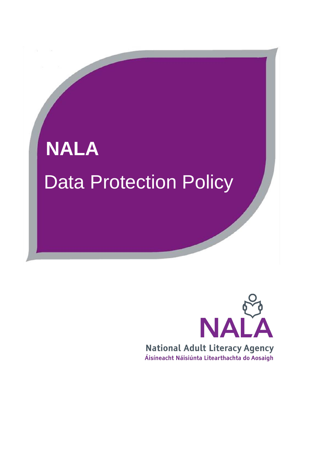

# NA **National Adult Literacy Agency** Áisíneacht Náisiúnta Litearthachta do Aosaigh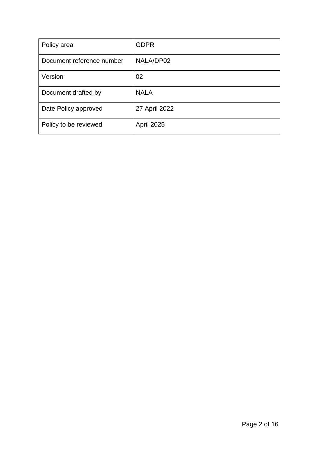| Policy area               | <b>GDPR</b>       |
|---------------------------|-------------------|
| Document reference number | NALA/DP02         |
| Version                   | 02                |
| Document drafted by       | <b>NALA</b>       |
| Date Policy approved      | 27 April 2022     |
| Policy to be reviewed     | <b>April 2025</b> |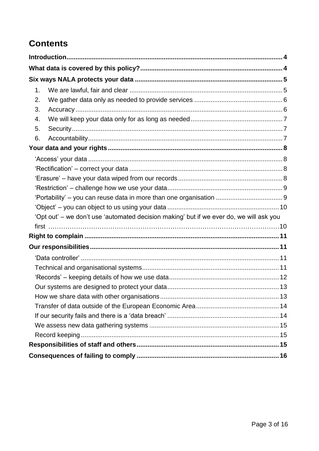# **Contents**

| 1. |                                                                                         |
|----|-----------------------------------------------------------------------------------------|
| 2. |                                                                                         |
| 3. |                                                                                         |
| 4. |                                                                                         |
| 5. |                                                                                         |
| 6. |                                                                                         |
|    |                                                                                         |
|    |                                                                                         |
|    |                                                                                         |
|    |                                                                                         |
|    |                                                                                         |
|    |                                                                                         |
|    |                                                                                         |
|    | 'Opt out' – we don't use 'automated decision making' but if we ever do, we will ask you |
|    |                                                                                         |
|    |                                                                                         |
|    |                                                                                         |
|    |                                                                                         |
|    |                                                                                         |
|    |                                                                                         |
|    |                                                                                         |
|    |                                                                                         |
|    |                                                                                         |
|    |                                                                                         |
|    |                                                                                         |
|    |                                                                                         |
|    |                                                                                         |
|    |                                                                                         |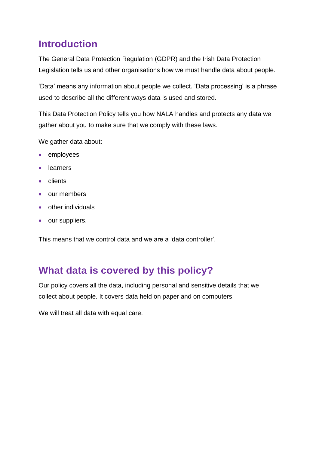# <span id="page-3-0"></span>**Introduction**

The General Data Protection Regulation (GDPR) and the Irish Data Protection Legislation tells us and other organisations how we must handle data about people.

'Data' means any information about people we collect. 'Data processing' is a phrase used to describe all the different ways data is used and stored.

This Data Protection Policy tells you how NALA handles and protects any data we gather about you to make sure that we comply with these laws.

We gather data about:

- employees
- **·** learners
- clients
- our members
- other individuals
- our suppliers.

This means that we control data and we are a 'data controller'.

# <span id="page-3-1"></span>**What data is covered by this policy?**

Our policy covers all the data, including personal and sensitive details that we collect about people. It covers data held on paper and on computers.

We will treat all data with equal care.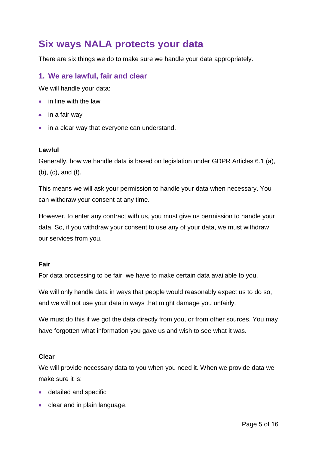# <span id="page-4-0"></span>**Six ways NALA protects your data**

There are six things we do to make sure we handle your data appropriately.

# <span id="page-4-1"></span>**1. We are lawful, fair and clear**

We will handle your data:

- in line with the law
- $\bullet$  in a fair way
- in a clear way that everyone can understand.

#### **Lawful**

Generally, how we handle data is based on legislation under GDPR Articles 6.1 (a), (b), (c), and (f).

This means we will ask your permission to handle your data when necessary. You can withdraw your consent at any time.

However, to enter any contract with us, you must give us permission to handle your data. So, if you withdraw your consent to use any of your data, we must withdraw our services from you.

#### **Fair**

For data processing to be fair, we have to make certain data available to you.

We will only handle data in ways that people would reasonably expect us to do so, and we will not use your data in ways that might damage you unfairly.

We must do this if we got the data directly from you, or from other sources. You may have forgotten what information you gave us and wish to see what it was.

#### **Clear**

We will provide necessary data to you when you need it. When we provide data we make sure it is:

- detailed and specific
- clear and in plain language.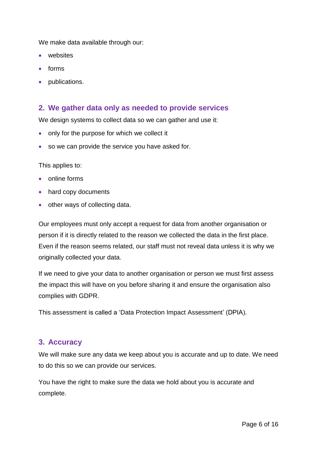We make data available through our:

- websites
- forms
- publications.

### <span id="page-5-0"></span>**2. We gather data only as needed to provide services**

We design systems to collect data so we can gather and use it:

- only for the purpose for which we collect it
- so we can provide the service you have asked for.

This applies to:

- online forms
- hard copy documents
- other ways of collecting data.

Our employees must only accept a request for data from another organisation or person if it is directly related to the reason we collected the data in the first place. Even if the reason seems related, our staff must not reveal data unless it is why we originally collected your data.

If we need to give your data to another organisation or person we must first assess the impact this will have on you before sharing it and ensure the organisation also complies with GDPR.

This assessment is called a 'Data Protection Impact Assessment' (DPIA).

#### <span id="page-5-1"></span>**3. Accuracy**

We will make sure any data we keep about you is accurate and up to date. We need to do this so we can provide our services.

You have the right to make sure the data we hold about you is accurate and complete.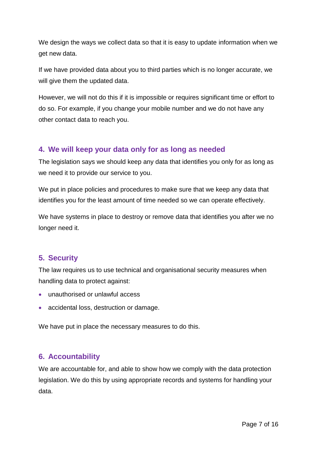We design the ways we collect data so that it is easy to update information when we get new data.

If we have provided data about you to third parties which is no longer accurate, we will give them the updated data.

However, we will not do this if it is impossible or requires significant time or effort to do so. For example, if you change your mobile number and we do not have any other contact data to reach you.

# <span id="page-6-0"></span>**4. We will keep your data only for as long as needed**

The legislation says we should keep any data that identifies you only for as long as we need it to provide our service to you.

We put in place policies and procedures to make sure that we keep any data that identifies you for the least amount of time needed so we can operate effectively.

We have systems in place to destroy or remove data that identifies you after we no longer need it.

# <span id="page-6-1"></span>**5. Security**

The law requires us to use technical and organisational security measures when handling data to protect against:

- unauthorised or unlawful access
- accidental loss, destruction or damage.

We have put in place the necessary measures to do this.

### <span id="page-6-2"></span>**6. Accountability**

We are accountable for, and able to show how we comply with the data protection legislation. We do this by using appropriate records and systems for handling your data.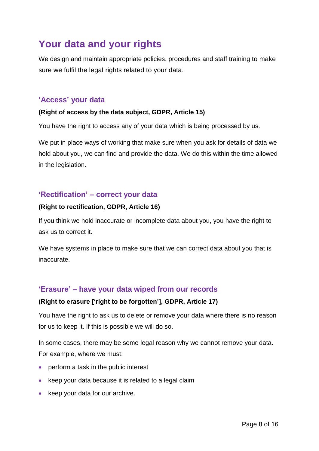# <span id="page-7-0"></span>**Your data and your rights**

We design and maintain appropriate policies, procedures and staff training to make sure we fulfil the legal rights related to your data.

# <span id="page-7-1"></span>**'Access' your data**

#### **(Right of access by the data subject, GDPR, Article 15)**

You have the right to access any of your data which is being processed by us.

We put in place ways of working that make sure when you ask for details of data we hold about you, we can find and provide the data. We do this within the time allowed in the legislation.

# <span id="page-7-2"></span>**'Rectification' – correct your data**

#### **(Right to rectification, GDPR, Article 16)**

If you think we hold inaccurate or incomplete data about you, you have the right to ask us to correct it.

We have systems in place to make sure that we can correct data about you that is inaccurate.

# <span id="page-7-3"></span>**'Erasure' – have your data wiped from our records**

#### **(Right to erasure ['right to be forgotten'], GDPR, Article 17)**

You have the right to ask us to delete or remove your data where there is no reason for us to keep it. If this is possible we will do so.

In some cases, there may be some legal reason why we cannot remove your data. For example, where we must:

- perform a task in the public interest
- keep your data because it is related to a legal claim
- keep your data for our archive.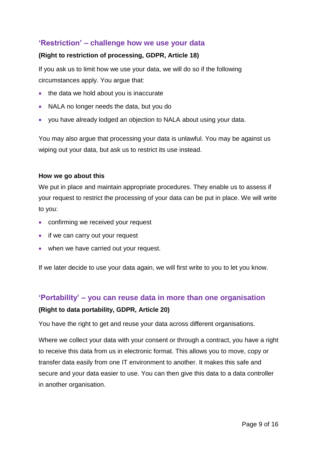# <span id="page-8-0"></span>**'Restriction' – challenge how we use your data**

#### **(Right to restriction of processing, GDPR, Article 18)**

If you ask us to limit how we use your data, we will do so if the following circumstances apply. You argue that:

- the data we hold about you is inaccurate
- NALA no longer needs the data, but you do
- you have already lodged an objection to NALA about using your data.

You may also argue that processing your data is unlawful. You may be against us wiping out your data, but ask us to restrict its use instead.

#### **How we go about this**

We put in place and maintain appropriate procedures. They enable us to assess if your request to restrict the processing of your data can be put in place. We will write to you:

- confirming we received your request
- if we can carry out your request
- when we have carried out your request.

If we later decide to use your data again, we will first write to you to let you know.

# <span id="page-8-1"></span>**'Portability' – you can reuse data in more than one organisation (Right to data portability, GDPR, Article 20)**

You have the right to get and reuse your data across different organisations.

Where we collect your data with your consent or through a contract, you have a right to receive this data from us in electronic format. This allows you to move, copy or transfer data easily from one IT environment to another. It makes this safe and secure and your data easier to use. You can then give this data to a data controller in another organisation.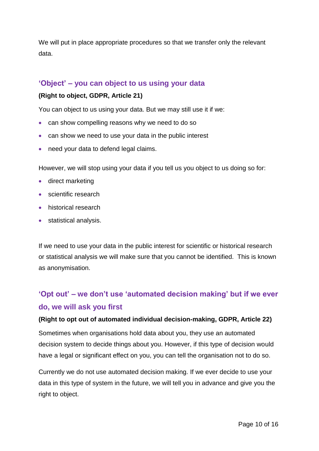We will put in place appropriate procedures so that we transfer only the relevant data.

### <span id="page-9-0"></span>**'Object' – you can object to us using your data**

#### **(Right to object, GDPR, Article 21)**

You can object to us using your data. But we may still use it if we:

- can show compelling reasons why we need to do so
- can show we need to use your data in the public interest
- need your data to defend legal claims.

However, we will stop using your data if you tell us you object to us doing so for:

- direct marketing
- scientific research
- historical research
- statistical analysis.

If we need to use your data in the public interest for scientific or historical research or statistical analysis we will make sure that you cannot be identified. This is known as anonymisation.

# <span id="page-9-1"></span>**'Opt out' – we don't use 'automated decision making' but if we ever do, we will ask you first**

#### **(Right to opt out of automated individual decision-making, GDPR, Article 22)**

Sometimes when organisations hold data about you, they use an automated decision system to decide things about you. However, if this type of decision would have a legal or significant effect on you, you can tell the organisation not to do so.

Currently we do not use automated decision making. If we ever decide to use your data in this type of system in the future, we will tell you in advance and give you the right to object.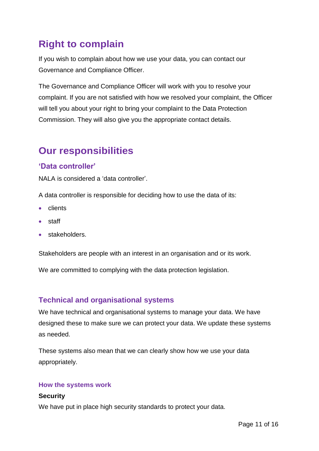# <span id="page-10-0"></span>**Right to complain**

If you wish to complain about how we use your data, you can contact our Governance and Compliance Officer.

The Governance and Compliance Officer will work with you to resolve your complaint. If you are not satisfied with how we resolved your complaint, the Officer will tell you about your right to bring your complaint to the Data Protection Commission. They will also give you the appropriate contact details.

# <span id="page-10-1"></span>**Our responsibilities**

# <span id="page-10-2"></span>**'Data controller'**

NALA is considered a 'data controller'.

A data controller is responsible for deciding how to use the data of its:

- clients
- staff
- **stakeholders.**

Stakeholders are people with an interest in an organisation and or its work.

We are committed to complying with the data protection legislation.

# <span id="page-10-3"></span>**Technical and organisational systems**

We have technical and organisational systems to manage your data. We have designed these to make sure we can protect your data. We update these systems as needed.

These systems also mean that we can clearly show how we use your data appropriately.

#### **How the systems work**

#### **Security**

We have put in place high security standards to protect your data.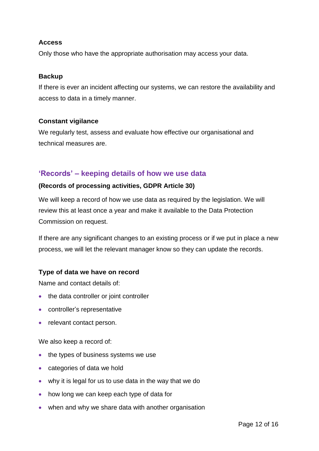#### **Access**

Only those who have the appropriate authorisation may access your data.

#### **Backup**

If there is ever an incident affecting our systems, we can restore the availability and access to data in a timely manner.

#### **Constant vigilance**

We regularly test, assess and evaluate how effective our organisational and technical measures are.

# <span id="page-11-0"></span>**'Records' – keeping details of how we use data**

#### **(Records of processing activities, GDPR Article 30)**

We will keep a record of how we use data as required by the legislation. We will review this at least once a year and make it available to the Data Protection Commission on request.

If there are any significant changes to an existing process or if we put in place a new process, we will let the relevant manager know so they can update the records.

#### **Type of data we have on record**

Name and contact details of:

- the data controller or joint controller
- controller's representative
- relevant contact person.

We also keep a record of:

- the types of business systems we use
- categories of data we hold
- why it is legal for us to use data in the way that we do
- how long we can keep each type of data for
- when and why we share data with another organisation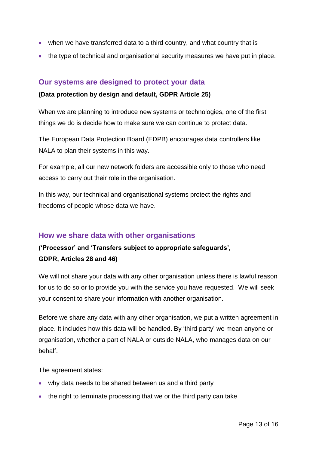- when we have transferred data to a third country, and what country that is
- <span id="page-12-0"></span>the type of technical and organisational security measures we have put in place.

### **Our systems are designed to protect your data**

#### **(Data protection by design and default, GDPR Article 25)**

When we are planning to introduce new systems or technologies, one of the first things we do is decide how to make sure we can continue to protect data.

The European Data Protection Board (EDPB) encourages data controllers like NALA to plan their systems in this way.

For example, all our new network folders are accessible only to those who need access to carry out their role in the organisation.

In this way, our technical and organisational systems protect the rights and freedoms of people whose data we have.

#### <span id="page-12-1"></span>**How we share data with other organisations**

# **('Processor' and 'Transfers subject to appropriate safeguards', GDPR, Articles 28 and 46)**

We will not share your data with any other organisation unless there is lawful reason for us to do so or to provide you with the service you have requested. We will seek your consent to share your information with another organisation.

Before we share any data with any other organisation, we put a written agreement in place. It includes how this data will be handled. By 'third party' we mean anyone or organisation, whether a part of NALA or outside NALA, who manages data on our behalf.

The agreement states:

- why data needs to be shared between us and a third party
- the right to terminate processing that we or the third party can take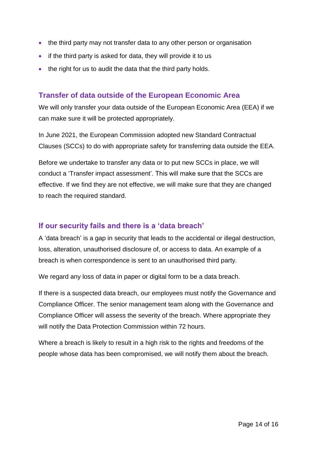- the third party may not transfer data to any other person or organisation
- if the third party is asked for data, they will provide it to us
- the right for us to audit the data that the third party holds.

### <span id="page-13-0"></span>**Transfer of data outside of the European Economic Area**

We will only transfer your data outside of the European Economic Area (EEA) if we can make sure it will be protected appropriately.

In June 2021, the European Commission adopted new Standard Contractual Clauses (SCCs) to do with appropriate safety for transferring data outside the EEA.

Before we undertake to transfer any data or to put new SCCs in place, we will conduct a 'Transfer impact assessment'. This will make sure that the SCCs are effective. If we find they are not effective, we will make sure that they are changed to reach the required standard.

### <span id="page-13-1"></span>**If our security fails and there is a 'data breach'**

A 'data breach' is a gap in security that leads to the accidental or illegal destruction, loss, alteration, unauthorised disclosure of, or access to data. An example of a breach is when correspondence is sent to an unauthorised third party.

We regard any loss of data in paper or digital form to be a data breach.

If there is a suspected data breach, our employees must notify the Governance and Compliance Officer. The senior management team along with the Governance and Compliance Officer will assess the severity of the breach. Where appropriate they will notify the Data Protection Commission within 72 hours.

Where a breach is likely to result in a high risk to the rights and freedoms of the people whose data has been compromised, we will notify them about the breach.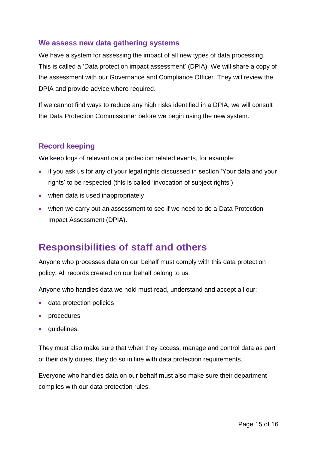### <span id="page-14-0"></span>**We assess new data gathering systems**

We have a system for assessing the impact of all new types of data processing. This is called a 'Data protection impact assessment' (DPIA). We will share a copy of the assessment with our Governance and Compliance Officer. They will review the DPIA and provide advice where required.

If we cannot find ways to reduce any high risks identified in a DPIA, we will consult the Data Protection Commissioner before we begin using the new system.

# <span id="page-14-1"></span>**Record keeping**

We keep logs of relevant data protection related events, for example:

- if you ask us for any of your legal rights discussed in section 'Your data and your rights' to be respected (this is called 'invocation of subject rights')
- when data is used inappropriately
- when we carry out an assessment to see if we need to do a Data Protection Impact Assessment (DPIA).

# <span id="page-14-2"></span>**Responsibilities of staff and others**

Anyone who processes data on our behalf must comply with this data protection policy. All records created on our behalf belong to us.

Anyone who handles data we hold must read, understand and accept all our:

- data protection policies
- procedures
- guidelines.

They must also make sure that when they access, manage and control data as part of their daily duties, they do so in line with data protection requirements.

Everyone who handles data on our behalf must also make sure their department complies with our data protection rules.